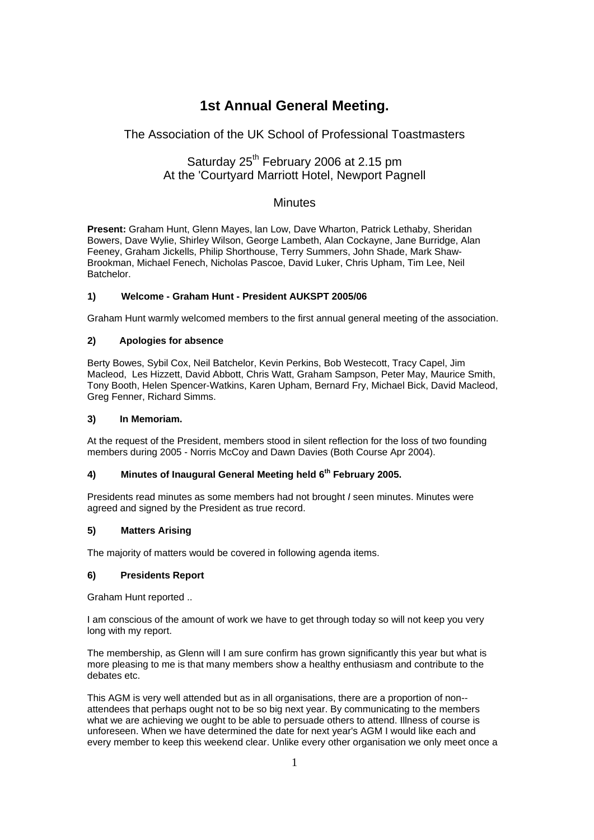# **1st Annual General Meeting.**

# The Association of the UK School of Professional Toastmasters

# Saturday 25<sup>th</sup> February 2006 at 2.15 pm At the 'Courtyard Marriott Hotel, Newport Pagnell

# **Minutes**

**Present:** Graham Hunt, Glenn Mayes, lan Low, Dave Wharton, Patrick Lethaby, Sheridan Bowers, Dave Wylie, Shirley Wilson, George Lambeth, Alan Cockayne, Jane Burridge, Alan Feeney, Graham Jickells, Philip Shorthouse, Terry Summers, John Shade, Mark Shaw-Brookman, Michael Fenech, Nicholas Pascoe, David Luker, Chris Upham, Tim Lee, Neil Batchelor.

# **1) Welcome - Graham Hunt - President AUKSPT 2005/06**

Graham Hunt warmly welcomed members to the first annual general meeting of the association.

# **2) Apologies for absence**

Berty Bowes, Sybil Cox, Neil Batchelor, Kevin Perkins, Bob Westecott, Tracy Capel, Jim Macleod, Les Hizzett, David Abbott, Chris Watt, Graham Sampson, Peter May, Maurice Smith, Tony Booth, Helen Spencer-Watkins, Karen Upham, Bernard Fry, Michael Bick, David Macleod, Greg Fenner, Richard Simms.

# **3) In Memoriam.**

At the request of the President, members stood in silent reflection for the loss of two founding members during 2005 - Norris McCoy and Dawn Davies (Both Course Apr 2004).

# **4) Minutes of Inaugural General Meeting held 6th February 2005.**

Presidents read minutes as some members had not brought *I* seen minutes. Minutes were agreed and signed by the President as true record.

# **5) Matters Arising**

The majority of matters would be covered in following agenda items.

# **6) Presidents Report**

Graham Hunt reported ..

I am conscious of the amount of work we have to get through today so will not keep you very long with my report.

The membership, as Glenn will I am sure confirm has grown significantly this year but what is more pleasing to me is that many members show a healthy enthusiasm and contribute to the debates etc.

This AGM is very well attended but as in all organisations, there are a proportion of non- attendees that perhaps ought not to be so big next year. By communicating to the members what we are achieving we ought to be able to persuade others to attend. Illness of course is unforeseen. When we have determined the date for next year's AGM I would like each and every member to keep this weekend clear. Unlike every other organisation we only meet once a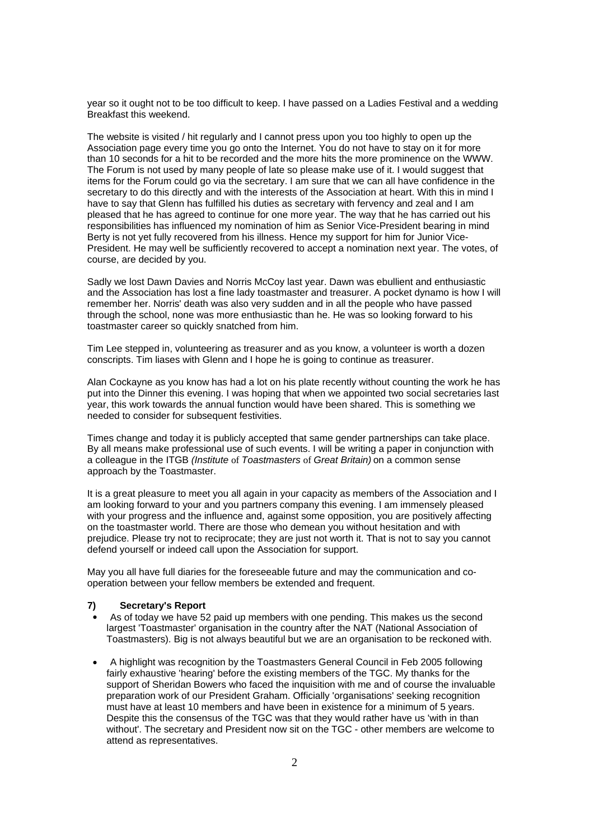year so it ought not to be too difficult to keep. I have passed on a Ladies Festival and a wedding Breakfast this weekend.

The website is visited / hit regularly and I cannot press upon you too highly to open up the Association page every time you go onto the Internet. You do not have to stay on it for more than 10 seconds for a hit to be recorded and the more hits the more prominence on the WWW. The Forum is not used by many people of late so please make use of it. I would suggest that items for the Forum could go via the secretary. I am sure that we can all have confidence in the secretary to do this directly and with the interests of the Association at heart. With this in mind I have to say that Glenn has fulfilled his duties as secretary with fervency and zeal and I am pleased that he has agreed to continue for one more year. The way that he has carried out his responsibilities has influenced my nomination of him as Senior Vice-President bearing in mind Berty is not yet fully recovered from his illness. Hence my support for him for Junior Vice-President. He may well be sufficiently recovered to accept a nomination next year. The votes, of course, are decided by you.

Sadly we lost Dawn Davies and Norris McCoy last year. Dawn was ebullient and enthusiastic and the Association has lost a fine lady toastmaster and treasurer. A pocket dynamo is how I will remember her. Norris' death was also very sudden and in all the people who have passed through the school, none was more enthusiastic than he. He was so looking forward to his toastmaster career so quickly snatched from him.

Tim Lee stepped in, volunteering as treasurer and as you know, a volunteer is worth a dozen conscripts. Tim liases with Glenn and I hope he is going to continue as treasurer.

Alan Cockayne as you know has had a lot on his plate recently without counting the work he has put into the Dinner this evening. I was hoping that when we appointed two social secretaries last year, this work towards the annual function would have been shared. This is something we needed to consider for subsequent festivities.

Times change and today it is publicly accepted that same gender partnerships can take place. By all means make professional use of such events. I will be writing a paper in conjunction with a colleague in the ITGB *(Institute* of *Toastmasters* of *Great Britain)* on a common sense approach by the Toastmaster.

It is a great pleasure to meet you all again in your capacity as members of the Association and I am looking forward to your and you partners company this evening. I am immensely pleased with your progress and the influence and, against some opposition, you are positively affecting on the toastmaster world. There are those who demean you without hesitation and with prejudice. Please try not to reciprocate; they are just not worth it. That is not to say you cannot defend yourself or indeed call upon the Association for support.

May you all have full diaries for the foreseeable future and may the communication and cooperation between your fellow members be extended and frequent.

### **7) Secretary's Report**

- As of today we have 52 paid up members with one pending. This makes us the second largest 'Toastmaster' organisation in the country after the NAT (National Association of Toastmasters). Big is not always beautiful but we are an organisation to be reckoned with.
- A highlight was recognition by the Toastmasters General Council in Feb 2005 following fairly exhaustive 'hearing' before the existing members of the TGC. My thanks for the support of Sheridan Bowers who faced the inquisition with me and of course the invaluable preparation work of our President Graham. Officially 'organisations' seeking recognition must have at least 10 members and have been in existence for a minimum of 5 years. Despite this the consensus of the TGC was that they would rather have us 'with in than without'. The secretary and President now sit on the TGC - other members are welcome to attend as representatives.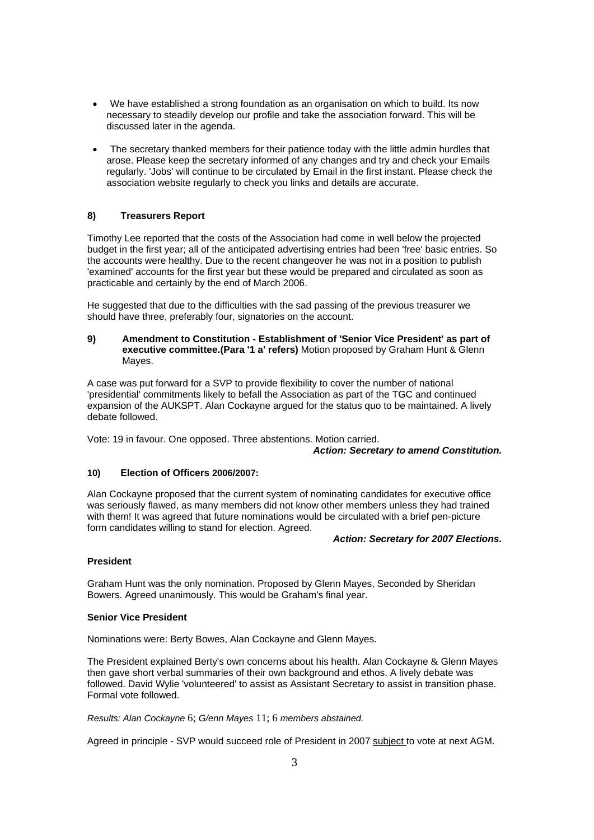- We have established a strong foundation as an organisation on which to build. Its now necessary to steadily develop our profile and take the association forward. This will be discussed later in the agenda.
- The secretary thanked members for their patience today with the little admin hurdles that arose. Please keep the secretary informed of any changes and try and check your Emails regularly. 'Jobs' will continue to be circulated by Email in the first instant. Please check the association website regularly to check you links and details are accurate.

# **8) Treasurers Report**

Timothy Lee reported that the costs of the Association had come in well below the projected budget in the first year; all of the anticipated advertising entries had been 'free' basic entries. So the accounts were healthy. Due to the recent changeover he was not in a position to publish 'examined' accounts for the first year but these would be prepared and circulated as soon as practicable and certainly by the end of March 2006.

He suggested that due to the difficulties with the sad passing of the previous treasurer we should have three, preferably four, signatories on the account.

### **9) Amendment to Constitution - Establishment of 'Senior Vice President' as part of executive committee.(Para '1 a' refers)** Motion proposed by Graham Hunt & Glenn Mayes.

A case was put forward for a SVP to provide flexibility to cover the number of national 'presidential' commitments likely to befall the Association as part of the TGC and continued expansion of the AUKSPT. Alan Cockayne argued for the status quo to be maintained. A lively debate followed.

Vote: 19 in favour. One opposed. Three abstentions. Motion carried.

#### *Action: Secretary to amend Constitution.*

## **10) Election of Officers 2006/2007:**

Alan Cockayne proposed that the current system of nominating candidates for executive office was seriously flawed, as many members did not know other members unless they had trained with them! It was agreed that future nominations would be circulated with a brief pen-picture form candidates willing to stand for election. Agreed.

#### *Action: Secretary for 2007 Elections.*

#### **President**

Graham Hunt was the only nomination. Proposed by Glenn Mayes, Seconded by Sheridan Bowers. Agreed unanimously. This would be Graham's final year.

#### **Senior Vice President**

Nominations were: Berty Bowes, Alan Cockayne and Glenn Mayes.

The President explained Berty's own concerns about his health. Alan Cockayne & Glenn Mayes then gave short verbal summaries of their own background and ethos. A lively debate was followed. David Wylie 'volunteered' to assist as Assistant Secretary to assist in transition phase. Formal vote followed.

*Results: Alan Cockayne* 6; *G/enn Mayes* 11; 6 *members abstained.* 

Agreed in principle - SVP would succeed role of President in 2007 subject to vote at next AGM.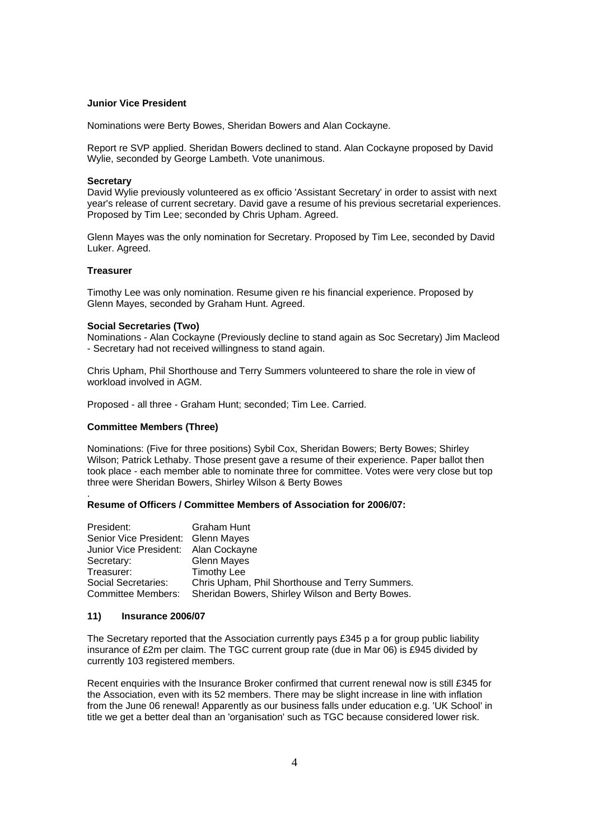#### **Junior Vice President**

Nominations were Berty Bowes, Sheridan Bowers and Alan Cockayne.

Report re SVP applied. Sheridan Bowers declined to stand. Alan Cockayne proposed by David Wylie, seconded by George Lambeth. Vote unanimous.

#### **Secretary**

David Wylie previously volunteered as ex officio 'Assistant Secretary' in order to assist with next year's release of current secretary. David gave a resume of his previous secretarial experiences. Proposed by Tim Lee; seconded by Chris Upham. Agreed.

Glenn Mayes was the only nomination for Secretary. Proposed by Tim Lee, seconded by David Luker. Agreed.

#### **Treasurer**

.

Timothy Lee was only nomination. Resume given re his financial experience. Proposed by Glenn Mayes, seconded by Graham Hunt. Agreed.

#### **Social Secretaries (Two)**

Nominations - Alan Cockayne (Previously decline to stand again as Soc Secretary) Jim Macleod - Secretary had not received willingness to stand again.

Chris Upham, Phil Shorthouse and Terry Summers volunteered to share the role in view of workload involved in AGM.

Proposed - all three - Graham Hunt; seconded; Tim Lee. Carried.

#### **Committee Members (Three)**

Nominations: (Five for three positions) Sybil Cox, Sheridan Bowers; Berty Bowes; Shirley Wilson; Patrick Lethaby. Those present gave a resume of their experience. Paper ballot then took place - each member able to nominate three for committee. Votes were very close but top three were Sheridan Bowers, Shirley Wilson & Berty Bowes

#### **Resume of Officers / Committee Members of Association for 2006/07:**

| President:                           | <b>Graham Hunt</b>                               |
|--------------------------------------|--------------------------------------------------|
| Senior Vice President: Glenn Mayes   |                                                  |
| Junior Vice President: Alan Cockayne |                                                  |
| Secretary:                           | <b>Glenn Mayes</b>                               |
| Treasurer:                           | Timothy Lee                                      |
| Social Secretaries:                  | Chris Upham, Phil Shorthouse and Terry Summers.  |
| Committee Members:                   | Sheridan Bowers, Shirley Wilson and Berty Bowes. |

#### **11) Insurance 2006/07**

The Secretary reported that the Association currently pays £345 p a for group public liability insurance of £2m per claim. The TGC current group rate (due in Mar 06) is £945 divided by currently 103 registered members.

Recent enquiries with the Insurance Broker confirmed that current renewal now is still £345 for the Association, even with its 52 members. There may be slight increase in line with inflation from the June 06 renewal! Apparently as our business falls under education e.g. 'UK School' in title we get a better deal than an 'organisation' such as TGC because considered lower risk.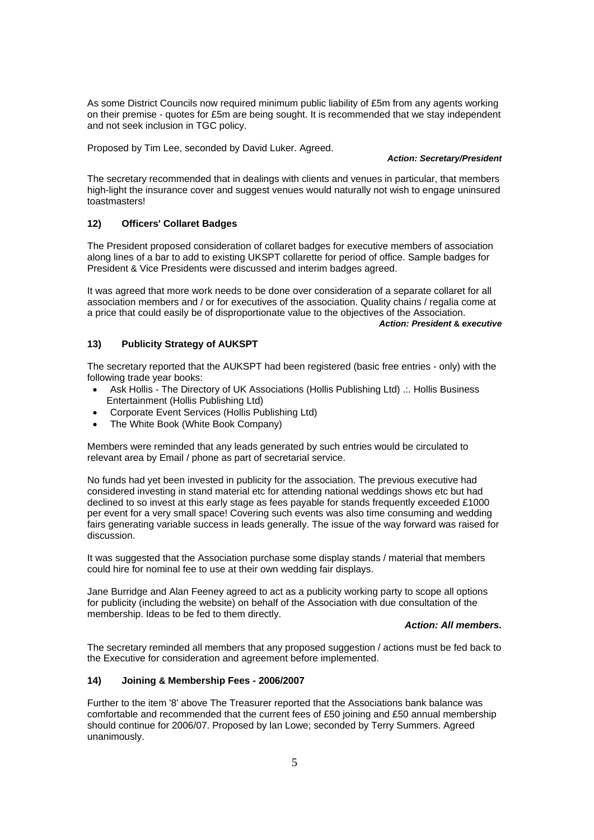As some District Councils now required minimum public liability of £5m from any agents working on their premise - quotes for £5m are being sought. It is recommended that we stay independent and not seek inclusion in TGC policy.

Proposed by Tim Lee, seconded by David Luker. Agreed.

#### *Action: Secretary/President*

The secretary recommended that in dealings with clients and venues in particular, that members high-light the insurance cover and suggest venues would naturally not wish to engage uninsured toastmasters!

## **12) Officers' Collaret Badges**

The President proposed consideration of collaret badges for executive members of association along lines of a bar to add to existing UKSPT collarette for period of office. Sample badges for President & Vice Presidents were discussed and interim badges agreed.

It was agreed that more work needs to be done over consideration of a separate collaret for all association members and / or for executives of the association. Quality chains / regalia come at a price that could easily be of disproportionate value to the objectives of the Association.

## *Action: President* **&** *executive*

## **13) Publicity Strategy of AUKSPT**

The secretary reported that the AUKSPT had been registered (basic free entries - only) with the following trade year books:

- Ask Hollis The Directory of UK Associations (Hollis Publishing Ltd) .:. Hollis Business Entertainment (Hollis Publishing Ltd)
- Corporate Event Services (Hollis Publishing Ltd)
- The White Book (White Book Company)

Members were reminded that any leads generated by such entries would be circulated to relevant area by Email / phone as part of secretarial service.

No funds had yet been invested in publicity for the association. The previous executive had considered investing in stand material etc for attending national weddings shows etc but had declined to so invest at this early stage as fees payable for stands frequently exceeded £1000 per event for a very small space! Covering such events was also time consuming and wedding fairs generating variable success in leads generally. The issue of the way forward was raised for discussion.

It was suggested that the Association purchase some display stands / material that members could hire for nominal fee to use at their own wedding fair displays.

Jane Burridge and Alan Feeney agreed to act as a publicity working party to scope all options for publicity (including the website) on behalf of the Association with due consultation of the membership. Ideas to be fed to them directly.

#### *Action: All members.*

The secretary reminded all members that any proposed suggestion / actions must be fed back to the Executive for consideration and agreement before implemented.

## **14) Joining & Membership Fees - 2006/2007**

Further to the item '8' above The Treasurer reported that the Associations bank balance was comfortable and recommended that the current fees of £50 joining and £50 annual membership should continue for 2006/07. Proposed by lan Lowe; seconded by Terry Summers. Agreed unanimously.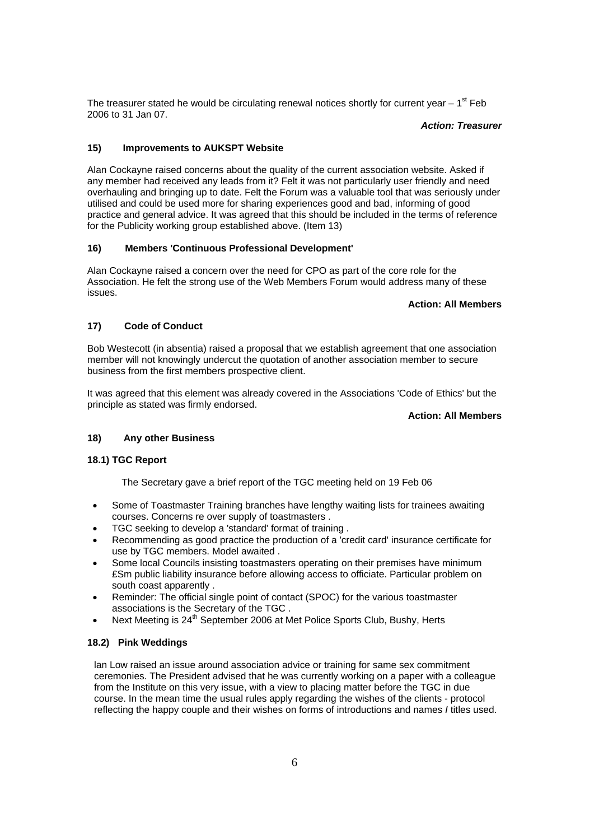The treasurer stated he would be circulating renewal notices shortly for current year  $-1<sup>st</sup>$  Feb 2006 to 31 Jan 07.

*Action: Treasurer* 

# **15) Improvements to AUKSPT Website**

Alan Cockayne raised concerns about the quality of the current association website. Asked if any member had received any leads from it? Felt it was not particularly user friendly and need overhauling and bringing up to date. Felt the Forum was a valuable tool that was seriously under utilised and could be used more for sharing experiences good and bad, informing of good practice and general advice. It was agreed that this should be included in the terms of reference for the Publicity working group established above. (Item 13)

# **16) Members 'Continuous Professional Development'**

Alan Cockayne raised a concern over the need for CPO as part of the core role for the Association. He felt the strong use of the Web Members Forum would address many of these issues.

## **Action: All Members**

# **17) Code of Conduct**

Bob Westecott (in absentia) raised a proposal that we establish agreement that one association member will not knowingly undercut the quotation of another association member to secure business from the first members prospective client.

It was agreed that this element was already covered in the Associations 'Code of Ethics' but the principle as stated was firmly endorsed.

### **Action: All Members**

## **18) Any other Business**

# **18.1) TGC Report**

The Secretary gave a brief report of the TGC meeting held on 19 Feb 06

- Some of Toastmaster Training branches have lengthy waiting lists for trainees awaiting courses. Concerns re over supply of toastmasters .
- TGC seeking to develop a 'standard' format of training .
- Recommending as good practice the production of a 'credit card' insurance certificate for use by TGC members. Model awaited .
- Some local Councils insisting toastmasters operating on their premises have minimum £Sm public liability insurance before allowing access to officiate. Particular problem on south coast apparently .
- Reminder: The official single point of contact (SPOC) for the various toastmaster associations is the Secretary of the TGC .
- Next Meeting is 24<sup>th</sup> September 2006 at Met Police Sports Club, Bushy, Herts

## **18.2) Pink Weddings**

lan Low raised an issue around association advice or training for same sex commitment ceremonies. The President advised that he was currently working on a paper with a colleague from the Institute on this very issue, with a view to placing matter before the TGC in due course. In the mean time the usual rules apply regarding the wishes of the clients - protocol reflecting the happy couple and their wishes on forms of introductions and names *I* titles used.